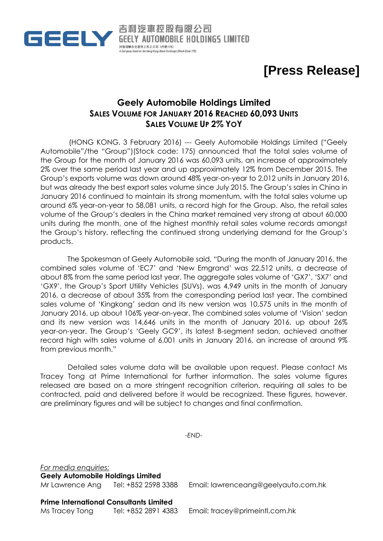

**[Press Release]**

## **Geely Automobile Holdings Limited SALES VOLUME FOR JANUARY 2016 REACHED 60,093 UNITS SALES VOLUME UP 2% YOY**

吉利汽車控股有限公司

**妙香港膳会交易所上市之公司 (代號175)** 

(HONG KONG, 3 February 2016) --- Geely Automobile Holdings Limited ("Geely Automobile"/the "Group")(Stock code: 175) announced that the total sales volume of the Group for the month of January 2016 was 60,093 units, an increase of approximately 2% over the same period last year and up approximately 12% from December 2015. The Group's exports volume was down around 48% year-on-year to 2,012 units in January 2016, but was already the best export sales volume since July 2015. The Group's sales in China in January 2016 continued to maintain its strong momentum, with the total sales volume up around 6% year-on-year to 58,081 units, a record high for the Group. Also, the retail sales volume of the Group's dealers in the China market remained very strong at about 60,000 units during the month, one of the highest monthly retail sales volume records amongst the Group's history, reflecting the continued strong underlying demand for the Group's products.

The Spokesman of Geely Automobile said, "During the month of January 2016, the combined sales volume of 'EC7' and 'New Emgrand' was 22,512 units, a decrease of about 8% from the same period last year. The aggregate sales volume of 'GX7', 'SX7' and 'GX9', the Group's Sport Utility Vehicles (SUVs), was 4,949 units in the month of January 2016, a decrease of about 35% from the corresponding period last year. The combined sales volume of 'Kingkong' sedan and its new version was 10,575 units in the month of January 2016, up about 106% year-on-year. The combined sales volume of 'Vision' sedan and its new version was 14,646 units in the month of January 2016, up about 26% year-on-year. The Group's 'Geely GC9', its latest B-segment sedan, achieved another record high with sales volume of 6,001 units in January 2016, an increase of around 9% from previous month."

Detailed sales volume data will be available upon request. Please contact Ms Tracey Tong at Prime International for further information. The sales volume figures released are based on a more stringent recognition criterion, requiring all sales to be contracted, paid and delivered before it would be recognized. These figures, however, are preliminary figures and will be subject to changes and final confirmation.

*-END-*

*For media enquiries:* **Geely Automobile Holdings Limited**

Mr Lawrence Ang Tel: +852 2598 3388 Email: [lawrenceang@geelyauto.com.hk](mailto:lawrenceang@geelyauto.com.hk)

**Prime International Consultants Limited**

Ms Tracey Tong Tel: +852 2891 4383 Email: [tracey@primeintl.com.hk](mailto:tracey@primeintl.com.hk)